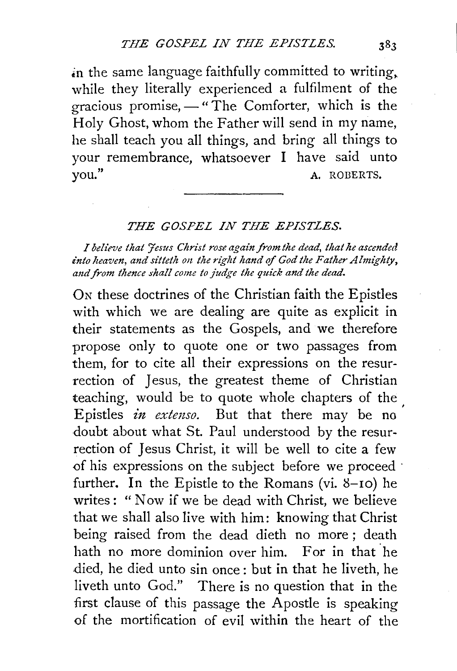in the same language faithfully committed to writing. while they literally experienced a fulfilment of the gracious promise,  $-$  "The Comforter, which is the Holy Ghost, whom the Father will send in my name, he shall teach you all things, and bring all things to your remembrance, whatsoever I have said unto you." A. ROBERTS.

## *THE GOSPEL IN THE EPISTLES.*

*I believe that Jesus Christ rose again from the dead, that he ascended into heaven, and sitteth on the right hand of God the Father Almighty, and from thence shall come to judge the quick and the dead.* 

ON these doctrines of the Christian faith the Epistles with which we are dealing are quite as explicit in their statements as the Gospels, and we therefore propose only to quote one or two passages from them, for to cite all their expressions on the resurrection of Jesus, the greatest theme of Christian teaching, would be to quote whole chapters of the Epistles *in extenso*. But that there may be no doubt about what St. Paul understood by the resurrection of Jesus Christ, it will be well to cite a few of his expressions on the subject before we proceed · further. In the Epistle to the Romans (vi. 8-10) he writes: " Now if we be dead with Christ, we believe that we shall also live with him: knowing that Christ being raised from the dead dieth no more ; death hath no more dominion over him. For in that he died, he died unto sin once : but in that he liveth, he liveth unto God." There is no question that in the first clause of this passage the Apostle is speaking of the mortification of evil within the heart of the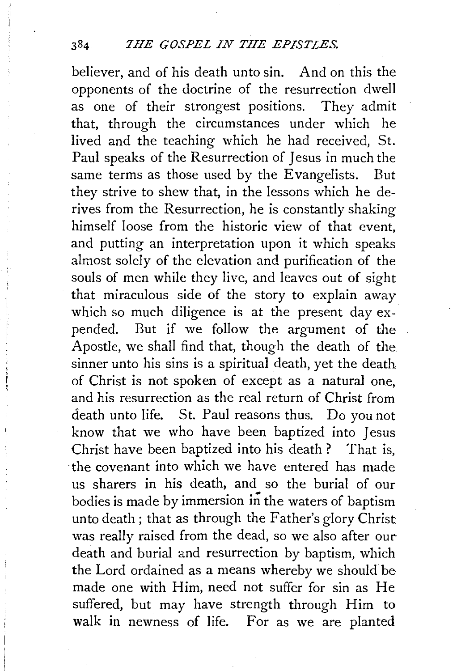## <sup>384</sup>*JHE GOSPEL IN THE EPISTLES.*

believer, and of his death unto sin. And on this the opponents of the doctrine of the resurrection dwell as one of their strongest positions. They admit that, through the circumstances under which he lived and the teaching which he had received, St. Paul speaks of the Resurrection of Jesus in much the same terms as those used by the Evangelists. But they strive to shew that, in the lessons which he derives from the Resurrection, he is constantly shaking himself loose from the historic view of that event, and putting an interpretation upon it which speaks almost solely of the elevation and purification of the souls of men while they live, and leaves out of sight that miraculous side of the story to explain away which so much diligence is at the present day expended. But if we follow the argument of the Apostle, we shall find that, though the death of the sinner unto his sins is a spiritual death, yet the death of Christ is not spoken of except as a natural one, and his resurrection as the real return of Christ from death unto life. St. Paul reasons thus. Do you not know that we who have been baptized into Jesus Christ have been baptized into his death ? That is, the covenant into which we have entered has made us sharers in his death, and so the burial of our bodies is made by immersion in the waters of baptism unto death; that as through the Father's glory Christ: was really raised from the dead, so we also after ourdeath and burial and resurrection by baptism, which the Lord ordained as a means whereby we should be made one with Him, need not suffer for sin as He suffered, but may have strength through Him to walk in newness of life. For as we are planted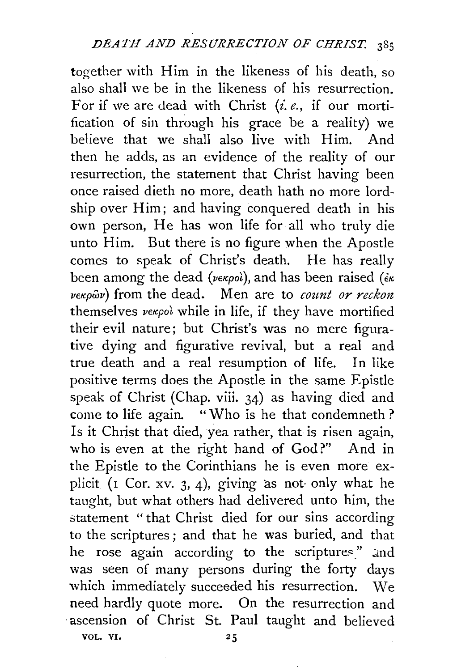together with Him in the likeness of his death, so also shall we be in the likeness of his resurrection. For if we are dead with Christ *(i.e.,* if our mortification of sin through his grace be a reality) we believe that we shall also live with Him. And then he adds, as an evidence of the reality of our resurrection, the statement that Christ having been once raised dieth no more, death hath no more lordship over Him; and having conquered death in his own person, He has won life for all who truly die unto Him. But there is no figure when the Apostle comes to speak of Christ's death. He has really been among the dead (vεκρο*ί*), and has been raised (εκ *v*<sub>Eκρών</sub>) from the dead. Men are to *count or reckon* themselves  $v \in \mathcal{P}$  while in life, if they have mortified their evil nature; but Christ's was no mere figurative dying and figurative revival, but a real and true death and a real resumption of life. In like positive terms does the Apostle in the same Epistle speak of Christ (Chap. viii. 34) as having died and come to life again. " Who is he that condemneth ? Is it Christ that died, yea rather, that is risen again, who is even at the right hand of God?" And in the Epistle to the Corinthians he is even more explicit (1 Cor. xv. 3, 4), giving as not· only what he taught, but what others had delivered unto him, the statement "that Christ died for our sins according to the scriptures ; and that he was buried, and that he rose again according to the scriptures" and was seen of many persons during the forty days which immediately succeeded his resurrection. We need hardly quote more. On the resurrection and ascension of Christ St. Paul taught and believed

VOL. VI.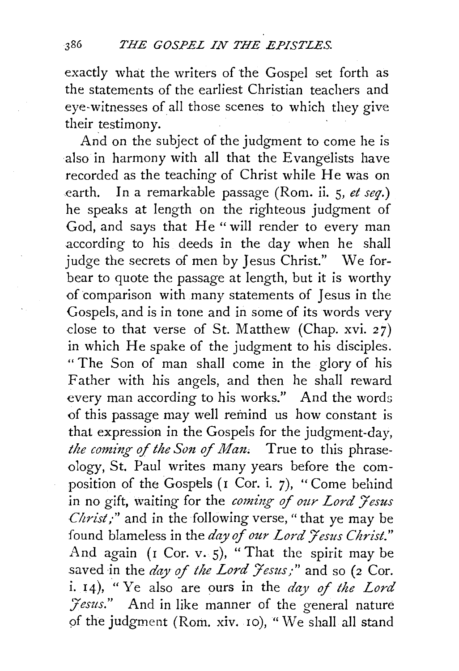exactly what the writers of the Gospel set forth as the statements of the earliest Christian teachers and eye-witnesses of all those scenes to which they give their testimony.

And on the subject of the judgment to come he is also in harmony with all that the Evangelists have recorded as the teaching of Christ while He was on earth. In a remarkable passage (Rom. ii. 5, *et seq.*) he speaks at length on the righteous judgment of God, and says that He "will render to every man according to his deeds in the day when he shall judge the secrets of men by Jesus Christ." We forbear to quote the passage at length, but it is worthy of comparison with many statements of Jesus in the Gospels, and is in tone and in some of its words very close to that verse of St. Matthew (Chap. xvi.  $27$ ) in which He spake of the judgment to his disciples. " The Son of man shall come in the glory of his Father with his angels, and then he shall reward every man according to his works." And the words of this passage may well remind us how constant is that expression in the Gospels for the judgment-day, *the coming of the Son of Man*. True to this phraseology, St. Paul writes many years before the composition of the Gospels (I Cor. i. 7), " Come behind in no gift, waiting for the *coming of our Lord Jesus Christ*;" and in the following verse, "that ye may be found blameless in the *day of our Lord Jesus Christ.*" And again (I Cor. v. 5), "That the spirit may be saved in the *day of the Lord Jesus;"* and so (2 Cor. i. 14), "Ye also are ours in the *day of the Lord :Jesus."* And in like manner of the general nature pf the judgment (Rom. xiv. 10), "We shall all stand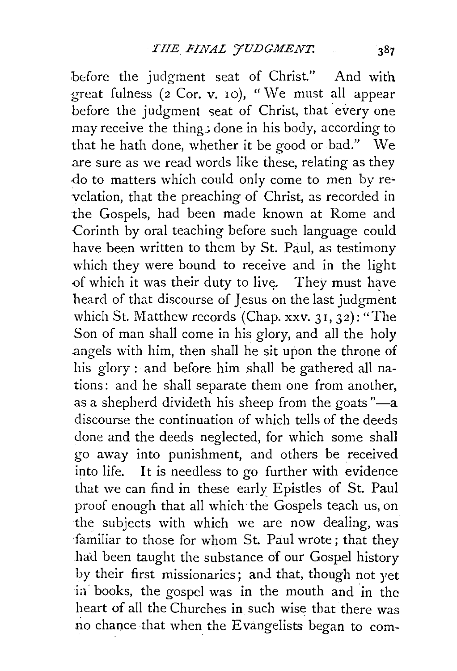before the judgment seat of Christ." And with great fulness (2 Cor. v. 10), "We must all appear before the judgment seat of Christ, that every one may receive the thing; done in his body, according to that he hath done, whether it be good or bad." We are sure as we read words like these, relating as they do to matters which could only come to men by revelation, that the preaching of Christ, as recorded in the Gospels, had been made known at Rome and Corinth by oral teaching before such language could have been written to them by St. Paul, as testimony which they were bound to receive and in the light of which it was their duty to live. They must have heard of that discourse of Jesus on the last judgment which St. Matthew records (Chap. xxv. 31, 32): "The Son of man shall come in his glory, and all the holy angels with him, then shall he sit upon the throne of his glory : and before him shall be gathered all nations: and he shall separate them one from another, as a shepherd divideth his sheep from the goats" $-a$ discourse the continuation of which tells of the deeds done and the deeds neglected, for which some shall go away into punishment, and others be received into life. It is needless to go further with evidence that we can find in these early Epistles of St. Paul proof enough that all which the Gospels teach us, on the subjects with which we are now dealing, was familiar to those for whom St. Paul wrote; that they had been taught the substance of our Gospel history by their first missionaries; and that, though not yet ia books, the gospel was in the mouth and in the heart of all the Churches in such wise that there was no chance that when the Evangelists began to com-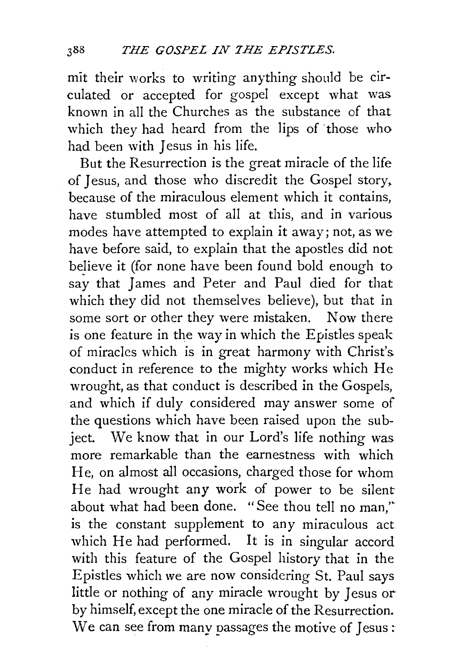mit their works to writing anything should be circulated or accepted for gospel except what was known in all the Churches as the substance of that which they had heard from the lips of those who had been with Jesus in his life.

But the Resurrection is the great miracle of the life of Jesus, and those who discredit the Gospel story, because of the miraculous element which it contains, have stumbled most of all at this, and in various modes have attempted to explain it away; not, as we have before said, to explain that the apostles did not believe it (for none have been found bold enough to say that James and Peter and Paul died for that which they did not themselves believe), but that in some sort or other they were mistaken. Now there is one feature in the way in which the Epistles speak of miracles which is in great harmony with Christ's conduct in reference to the mighty works which He wrought, as that conduct is described in the Gospels, and which if duly considered may answer some of the questions which have been raised upon the subject. We know that in our Lord's life nothing was more remarkable than the earnestness with which He, on almost all occasions, charged those for whom He had wrought any work of power to be silent about what had been done. "See thou tell no man,'' is the constant supplement to any miraculous act which He had performed. It is in singular accord with this feature of the Gospel history that in the Epistles which we are now considering St. Paul says little or nothing of any miracle wrought by Jesus or by himself, except the one miracle of the Resurrection. We can see from many passages the motive of Jesus :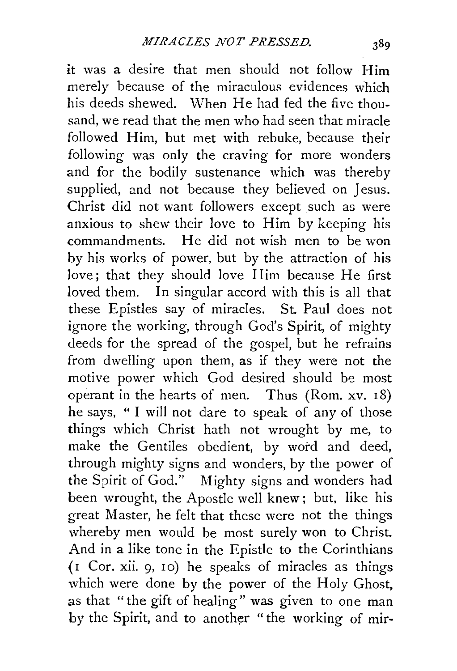it was a desire that men should not follow Him merely because of the miraculous evidences which his deeds shewed. When He had fed the five thousand, we read that the men who had seen that miracle followed Him, but met with rebuke, because their following was only the craving for more wonders and for the bodily sustenance which was thereby supplied, and not because they believed on Jesus. Christ did not want followers except such as were anxious to shew their love to Him by keeping his commandments. He did not wish men to be won by his works of power, but by the attraction of his love; that they should love Him because He first loved them. In singular accord with this is all that these Epistles say of miracles. St. Paul does not ignore the working, through God's Spirit, of mighty deeds for the spread of the gospel, but he refrains from dwelling upon them, as if they were not the motive power which God desired should be most operant in the hearts of men. Thus (Rom. xv. IS) he says, " I will not dare to speak of any of those things which Christ hath not wrought by me, to make the Gentiles obedient, by word and deed, through mighty signs and wonders, by the power of the Spirit of God." Mighty signs and wonders had been wrought, the Apostle well knew; but, like his great Master, he felt that these were not the things whereby men would be most surely won to Christ. And in a like tone in the Epistle to the Corinthians (I Cor. xii. 9, 10) he speaks of miracles as things which were done by the power of the Holy Ghost, as that "the gift of healing" was given to one man by the Spirit, and to another " the working of mir-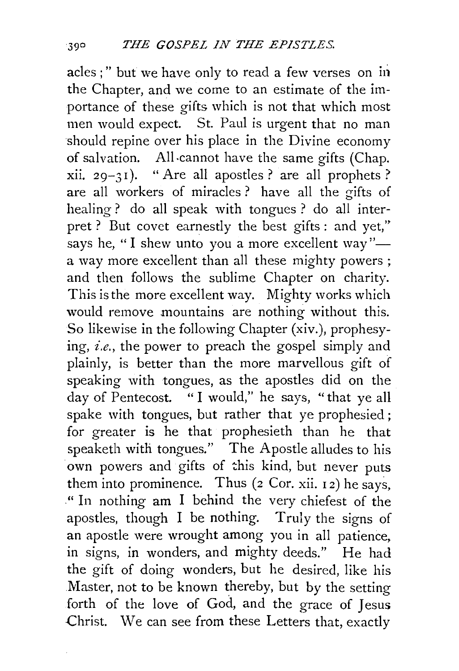acles;" but we have only to read a few verses on in the Chapter, and we come to an estimate of the importance of these gifts which is not that which most men would expect. St. Paul is urgent that no man should repine over his place in the Divine economy of salvation. All.cannot have the same gifts (Chap. xii. 29-31). "Are all apostles ? are all prophets ? are all workers of miracles ? have all the gifts of healing ? do all speak with tongues ? do all interpret ? But covet earnestly the best gifts : and yet," says he, "I shew unto you a more excellent way"a way more excellent than all these mighty powers ; and then follows the sublime Chapter on charity. This is the more excellent way. Mighty works which would remove mountains are nothing without this. So likewise in the following Chapter (xiv.), prophesying, *i.e.*, the power to preach the gospel simply and plainly, is better than the more marvellous gift of speaking with tongues, as the apostles did on the day of Pentecost. " I would," he says, "that ye all spake with tongues, but rather that ye prophesied ; for greater is he that prophesieth than he that speaketh with tongues." The Apostle alludes to his own powers and gifts of this kind, but never puts them into prominence. Thus  $(2 \text{ Cor. xii. 12})$  he says, " In nothing am I behind the very chiefest of the apostles, though I be nothing. Truly the signs of an apostle were wrought among you in all patience, in signs, in wonders, and mighty deeds." He had the gift of doing wonders, but he desired, like his .Master, not to be known thereby, but by the setting forth of the love of God, and the grace of Jesus -Christ. We can see from these Letters that, exactly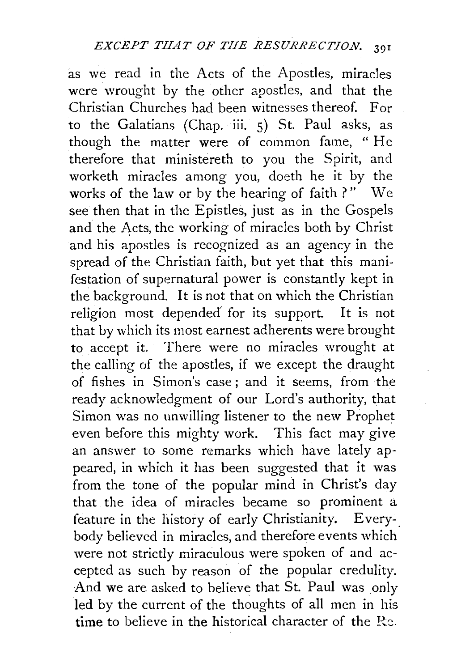as we read in the Acts of the Apostles, miracles were wrought by the other apostles, and that the Christian Churches had been witnesses thereof. For to the Galatians (Chap. iii. 5) St. Paul asks, as though the matter were of common fame, " He therefore that ministereth to you the Spirit, and worketh miracles among you, doeth he it by the works of the law or by the hearing of faith ?" We see then that in the Epistles, just as in the Gospels and the Acts, the working of miracles both by Christ and his apostles is recognized as an agency in the spread of the Christian faith, but yet that this manifestation of supernatural power is constantly kept in the background. It is not that on which the Christian religion most depended for its support. It is not that by which its most earnest adherents were brought to accept it. There were no miracles wrought at the calling of the apostles, if we except the draught of fishes in Simon's case ; and it seems, from the ready acknowledgment of our Lord's authority, that Simon was no unwilling listener to the new Prophet even before this mighty work. This fact may give an answer to some remarks which have lately appeared, in which it has been suggested that it was from the tone of the popular mind in Christ's day that the idea of miracles became so prominent a feature in the history of early Christianity. Everybody believed in miracles, and therefore events which were not strictly miraculous were spoken of and accepted as such by reason of the popular credulity. And we are asked to believe that St. Paul was only led by the current of the thoughts of all men in his time to believe in the historical character of the  $Re$ .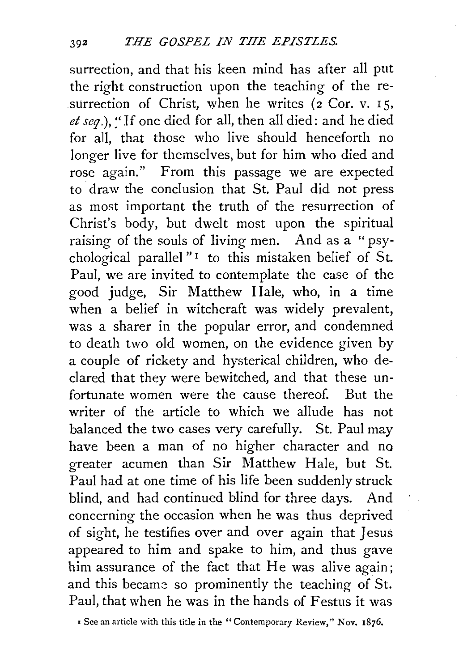surrection, and that his keen mind has after all put the right construction upon the teaching of the resurrection of Christ, when he writes (2 Cor. v. 15, et seq.), "If one died for all, then all died: and he died for all, that those who live should henceforth no longer live for themselves, but for him who died and rose again." From this passage we are expected to draw the conclusion that St. Paul did not press as most important the truth of the resurrection of Christ's body, but dwelt most upon the spiritual raising of the souls of living men. And as a " psychological parallel "r to this mistaken belief of St. Paul, we are invited to contemplate the case of the good judge, Sir Matthew Hale, who, in a time when a belief in witchcraft was widely prevalent, was a sharer in the popular error, and condemned to death two old women, on the evidence given by a couple of rickety and hysterical children, who declared that they were bewitched, and that these unfortunate women were the cause thereof. But the writer of the article to which we allude has not balanced the two cases very carefully. St. Paul may have been a man of no higher character and no greater acumen than Sir Matthew Hale, but St. Paul had at one time of his life been suddenly struck blind, and had continued blind for three days. And concerning the occasion when he was thus deprived of sight, he testifies over and over again that Jesus appeared to him and spake to him, and thus gave him assurance of the fact that He was alive again; and this became so prominently the teaching of St. Paul, that when he was in the hands of Festus it was

<sup>•</sup> See an article with this title in the "Contemporary Review," Nov. 1876.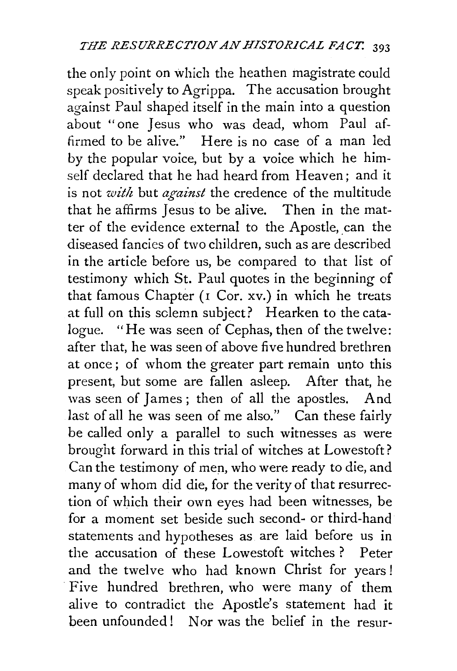the only point on which the heathen magistrate could speak positively to Agrippa. The accusation brought against Paul shaped itself in the main into a question about "one Jesus who was dead, whom Paul affirmed to be alive." Here is no case of a man led by the popular voice, but by a voice which he himself declared that he had heard from Heaven; and it is not *with* but *against* the credence of the multitude that he affirms Jesus to be alive. Then in the matter of the evidence external to the Apostle, can the diseased fancies of two children, such as are described in the article before us, be compared to that list of testimony which St. Paul quotes in the beginning of that famous Chapter (r Cor. xv.) in which he treats at full on this solemn subject? Hearken to the catalogue. "He was seen of Cephas, then of the twelve: after that, he was seen of above five hundred brethren at once ; of whom the greater part remain unto this present, but some are fallen asleep. After that, he was seen of James; then of all the apostles. And last of all he was seen of me also." Can these fairly be called only a parallel to such witnesses as were brought forward in this trial of witches at Lowestoft? Can the testimony of men, who were ready to die, and many of whom did die, for the verity of that resurrection of which their own eyes had been witnesses, be for a moment set beside such second- or third-hand statements and hypotheses as are laid before us in the accusation of these Lowestoft witches ? Peter and the twelve who had known Christ for years! Five hundred brethren, who were many of them alive to contradict the Apostle's statement had it been unfounded! Nor was the belief in the resur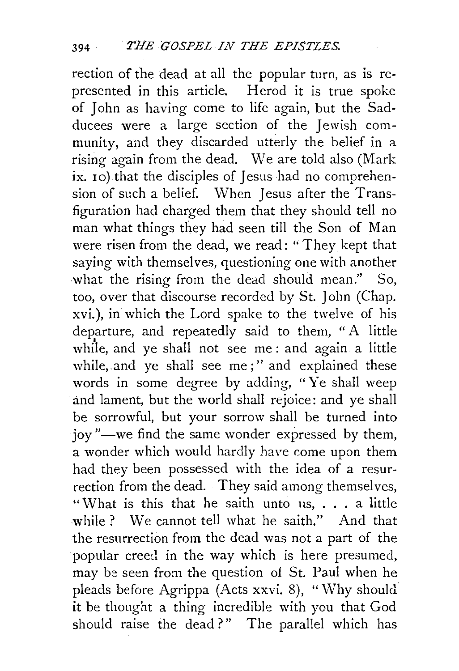rection of the dead at all the popular turn, as is represented in this article. Herod it is true spoke of John as having come to life again, but the Sadducees were a large section of the Jewish community, and they discarded utterly the belief in a rising again from the dead. We are told also (Mark ix. 10) that the disciples of Jesus had no comprehension of such a belief. When Jesus after the Transfiguration had charged them that they should tell no man what things they had seen till the Son of Man were risen from the dead, we read: " They kept that saying with themselves, questioning one with another what the rising from the dead should mean." So, too, over that discourse recorded by St. John (Chap. xvi. ), in which the Lord spake to the twelve of his departure, and repeatedly said to them, "A little while, and ye shall not see me : and again a little while,.and ye shall see me;" and explained these words in some degree by adding, "Ye shall weep and lament, but the world shall rejoice: and ye shall be sorrowful, but your sorrow shall be turned into joy "--we find the same wonder expressed by them, a wonder which would hardly have come upon them had they been possessed with the idea of a resurrection from the dead. They said among themselves, "What is this that he saith unto us, . . . a little while ? We cannot tell what he saith." And that the resurrection from the dead was not a part of the popular creed in the way which is here presumed, may be seen from the question of St. Paul when he pleads before Agrippa (Acts xxvi. 8), "Why should it be thought a thing incredible with you that God should raise the dead?" The parallel which has